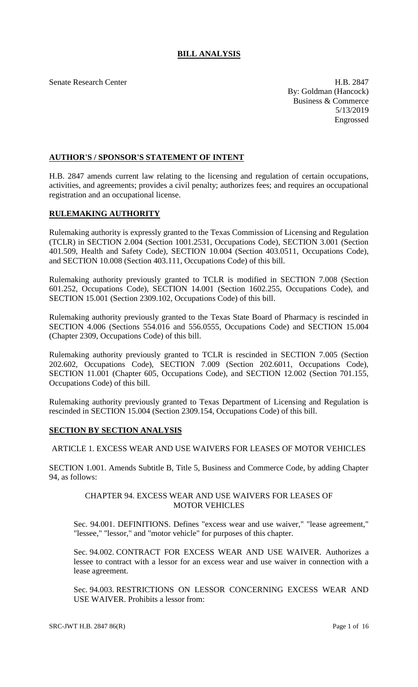# **BILL ANALYSIS**

Senate Research Center **H.B. 2847** By: Goldman (Hancock) Business & Commerce 5/13/2019 Engrossed

# **AUTHOR'S / SPONSOR'S STATEMENT OF INTENT**

H.B. 2847 amends current law relating to the licensing and regulation of certain occupations, activities, and agreements; provides a civil penalty; authorizes fees; and requires an occupational registration and an occupational license.

### **RULEMAKING AUTHORITY**

Rulemaking authority is expressly granted to the Texas Commission of Licensing and Regulation (TCLR) in SECTION 2.004 (Section 1001.2531, Occupations Code), SECTION 3.001 (Section 401.509, Health and Safety Code), SECTION 10.004 (Section 403.0511, Occupations Code), and SECTION 10.008 (Section 403.111, Occupations Code) of this bill.

Rulemaking authority previously granted to TCLR is modified in SECTION 7.008 (Section 601.252, Occupations Code), SECTION 14.001 (Section 1602.255, Occupations Code), and SECTION 15.001 (Section 2309.102, Occupations Code) of this bill.

Rulemaking authority previously granted to the Texas State Board of Pharmacy is rescinded in SECTION 4.006 (Sections 554.016 and 556.0555, Occupations Code) and SECTION 15.004 (Chapter 2309, Occupations Code) of this bill.

Rulemaking authority previously granted to TCLR is rescinded in SECTION 7.005 (Section 202.602, Occupations Code), SECTION 7.009 (Section 202.6011, Occupations Code), SECTION 11.001 (Chapter 605, Occupations Code), and SECTION 12.002 (Section 701.155, Occupations Code) of this bill.

Rulemaking authority previously granted to Texas Department of Licensing and Regulation is rescinded in SECTION 15.004 (Section 2309.154, Occupations Code) of this bill.

### **SECTION BY SECTION ANALYSIS**

### ARTICLE 1. EXCESS WEAR AND USE WAIVERS FOR LEASES OF MOTOR VEHICLES

SECTION 1.001. Amends Subtitle B, Title 5, Business and Commerce Code, by adding Chapter 94, as follows:

#### CHAPTER 94. EXCESS WEAR AND USE WAIVERS FOR LEASES OF MOTOR VEHICLES

Sec. 94.001. DEFINITIONS. Defines "excess wear and use waiver," "lease agreement," "lessee," "lessor," and "motor vehicle" for purposes of this chapter.

Sec. 94.002. CONTRACT FOR EXCESS WEAR AND USE WAIVER. Authorizes a lessee to contract with a lessor for an excess wear and use waiver in connection with a lease agreement.

Sec. 94.003. RESTRICTIONS ON LESSOR CONCERNING EXCESS WEAR AND USE WAIVER. Prohibits a lessor from: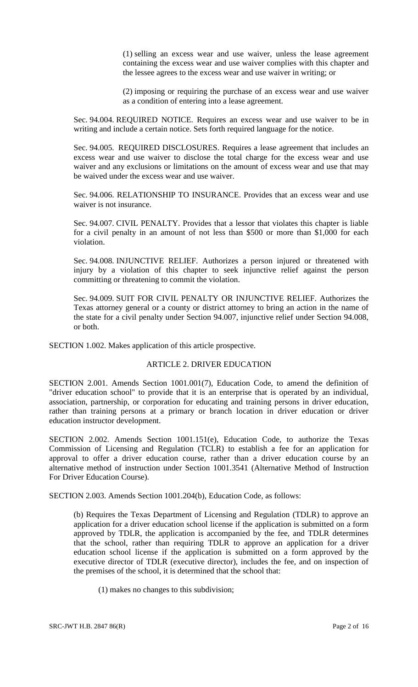(1) selling an excess wear and use waiver, unless the lease agreement containing the excess wear and use waiver complies with this chapter and the lessee agrees to the excess wear and use waiver in writing; or

(2) imposing or requiring the purchase of an excess wear and use waiver as a condition of entering into a lease agreement.

Sec. 94.004. REQUIRED NOTICE. Requires an excess wear and use waiver to be in writing and include a certain notice. Sets forth required language for the notice.

Sec. 94.005. REQUIRED DISCLOSURES. Requires a lease agreement that includes an excess wear and use waiver to disclose the total charge for the excess wear and use waiver and any exclusions or limitations on the amount of excess wear and use that may be waived under the excess wear and use waiver.

Sec. 94.006. RELATIONSHIP TO INSURANCE. Provides that an excess wear and use waiver is not insurance.

Sec. 94.007. CIVIL PENALTY. Provides that a lessor that violates this chapter is liable for a civil penalty in an amount of not less than \$500 or more than \$1,000 for each violation.

Sec. 94.008. INJUNCTIVE RELIEF. Authorizes a person injured or threatened with injury by a violation of this chapter to seek injunctive relief against the person committing or threatening to commit the violation.

Sec. 94.009. SUIT FOR CIVIL PENALTY OR INJUNCTIVE RELIEF. Authorizes the Texas attorney general or a county or district attorney to bring an action in the name of the state for a civil penalty under Section 94.007, injunctive relief under Section 94.008, or both.

SECTION 1.002. Makes application of this article prospective.

#### ARTICLE 2. DRIVER EDUCATION

SECTION 2.001. Amends Section 1001.001(7), Education Code, to amend the definition of "driver education school" to provide that it is an enterprise that is operated by an individual, association, partnership, or corporation for educating and training persons in driver education, rather than training persons at a primary or branch location in driver education or driver education instructor development.

SECTION 2.002. Amends Section 1001.151(e), Education Code, to authorize the Texas Commission of Licensing and Regulation (TCLR) to establish a fee for an application for approval to offer a driver education course, rather than a driver education course by an alternative method of instruction under Section 1001.3541 (Alternative Method of Instruction For Driver Education Course).

SECTION 2.003. Amends Section 1001.204(b), Education Code, as follows:

(b) Requires the Texas Department of Licensing and Regulation (TDLR) to approve an application for a driver education school license if the application is submitted on a form approved by TDLR, the application is accompanied by the fee, and TDLR determines that the school, rather than requiring TDLR to approve an application for a driver education school license if the application is submitted on a form approved by the executive director of TDLR (executive director), includes the fee, and on inspection of the premises of the school, it is determined that the school that:

(1) makes no changes to this subdivision;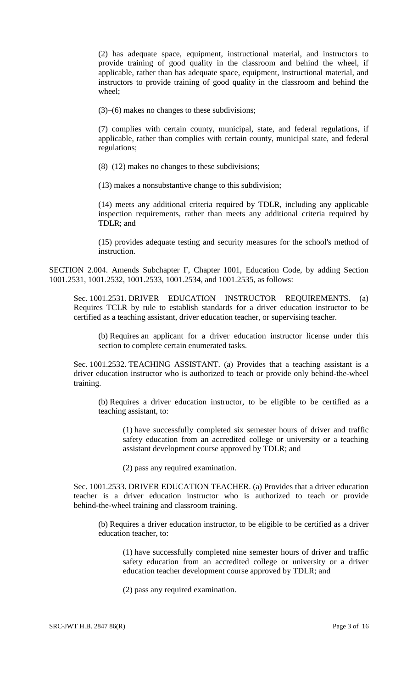(2) has adequate space, equipment, instructional material, and instructors to provide training of good quality in the classroom and behind the wheel, if applicable, rather than has adequate space, equipment, instructional material, and instructors to provide training of good quality in the classroom and behind the wheel;

(3)–(6) makes no changes to these subdivisions;

(7) complies with certain county, municipal, state, and federal regulations, if applicable, rather than complies with certain county, municipal state, and federal regulations;

(8)–(12) makes no changes to these subdivisions;

(13) makes a nonsubstantive change to this subdivision;

(14) meets any additional criteria required by TDLR, including any applicable inspection requirements, rather than meets any additional criteria required by TDLR; and

(15) provides adequate testing and security measures for the school's method of instruction.

SECTION 2.004. Amends Subchapter F, Chapter 1001, Education Code, by adding Section 1001.2531, 1001.2532, 1001.2533, 1001.2534, and 1001.2535, as follows:

Sec. 1001.2531. DRIVER EDUCATION INSTRUCTOR REQUIREMENTS. (a) Requires TCLR by rule to establish standards for a driver education instructor to be certified as a teaching assistant, driver education teacher, or supervising teacher.

(b) Requires an applicant for a driver education instructor license under this section to complete certain enumerated tasks.

Sec. 1001.2532. TEACHING ASSISTANT. (a) Provides that a teaching assistant is a driver education instructor who is authorized to teach or provide only behind-the-wheel training.

(b) Requires a driver education instructor, to be eligible to be certified as a teaching assistant, to:

(1) have successfully completed six semester hours of driver and traffic safety education from an accredited college or university or a teaching assistant development course approved by TDLR; and

(2) pass any required examination.

Sec. 1001.2533. DRIVER EDUCATION TEACHER. (a) Provides that a driver education teacher is a driver education instructor who is authorized to teach or provide behind-the-wheel training and classroom training.

(b) Requires a driver education instructor, to be eligible to be certified as a driver education teacher, to:

(1) have successfully completed nine semester hours of driver and traffic safety education from an accredited college or university or a driver education teacher development course approved by TDLR; and

(2) pass any required examination.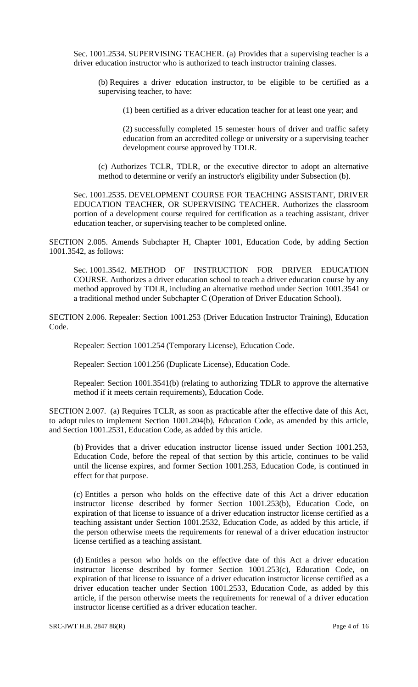Sec. 1001.2534. SUPERVISING TEACHER. (a) Provides that a supervising teacher is a driver education instructor who is authorized to teach instructor training classes.

(b) Requires a driver education instructor, to be eligible to be certified as a supervising teacher, to have:

(1) been certified as a driver education teacher for at least one year; and

(2) successfully completed 15 semester hours of driver and traffic safety education from an accredited college or university or a supervising teacher development course approved by TDLR.

(c) Authorizes TCLR, TDLR, or the executive director to adopt an alternative method to determine or verify an instructor's eligibility under Subsection (b).

Sec. 1001.2535. DEVELOPMENT COURSE FOR TEACHING ASSISTANT, DRIVER EDUCATION TEACHER, OR SUPERVISING TEACHER. Authorizes the classroom portion of a development course required for certification as a teaching assistant, driver education teacher, or supervising teacher to be completed online.

SECTION 2.005. Amends Subchapter H, Chapter 1001, Education Code, by adding Section 1001.3542, as follows:

Sec. 1001.3542. METHOD OF INSTRUCTION FOR DRIVER EDUCATION COURSE. Authorizes a driver education school to teach a driver education course by any method approved by TDLR, including an alternative method under Section 1001.3541 or a traditional method under Subchapter C (Operation of Driver Education School).

SECTION 2.006. Repealer: Section 1001.253 (Driver Education Instructor Training), Education Code.

Repealer: Section 1001.254 (Temporary License), Education Code.

Repealer: Section 1001.256 (Duplicate License), Education Code.

Repealer: Section 1001.3541(b) (relating to authorizing TDLR to approve the alternative method if it meets certain requirements), Education Code.

SECTION 2.007. (a) Requires TCLR, as soon as practicable after the effective date of this Act, to adopt rules to implement Section 1001.204(b), Education Code, as amended by this article, and Section 1001.2531, Education Code, as added by this article.

(b) Provides that a driver education instructor license issued under Section 1001.253, Education Code, before the repeal of that section by this article, continues to be valid until the license expires, and former Section 1001.253, Education Code, is continued in effect for that purpose.

(c) Entitles a person who holds on the effective date of this Act a driver education instructor license described by former Section 1001.253(b), Education Code, on expiration of that license to issuance of a driver education instructor license certified as a teaching assistant under Section 1001.2532, Education Code, as added by this article, if the person otherwise meets the requirements for renewal of a driver education instructor license certified as a teaching assistant.

(d) Entitles a person who holds on the effective date of this Act a driver education instructor license described by former Section 1001.253(c), Education Code, on expiration of that license to issuance of a driver education instructor license certified as a driver education teacher under Section 1001.2533, Education Code, as added by this article, if the person otherwise meets the requirements for renewal of a driver education instructor license certified as a driver education teacher.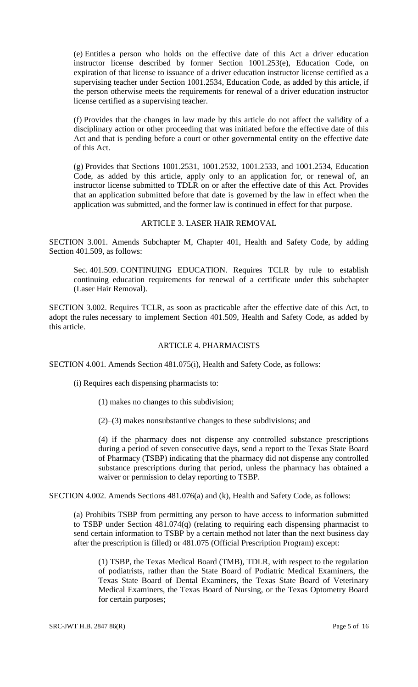(e) Entitles a person who holds on the effective date of this Act a driver education instructor license described by former Section 1001.253(e), Education Code, on expiration of that license to issuance of a driver education instructor license certified as a supervising teacher under Section 1001.2534, Education Code, as added by this article, if the person otherwise meets the requirements for renewal of a driver education instructor license certified as a supervising teacher.

(f) Provides that the changes in law made by this article do not affect the validity of a disciplinary action or other proceeding that was initiated before the effective date of this Act and that is pending before a court or other governmental entity on the effective date of this Act.

(g) Provides that Sections 1001.2531, 1001.2532, 1001.2533, and 1001.2534, Education Code, as added by this article, apply only to an application for, or renewal of, an instructor license submitted to TDLR on or after the effective date of this Act. Provides that an application submitted before that date is governed by the law in effect when the application was submitted, and the former law is continued in effect for that purpose.

# ARTICLE 3. LASER HAIR REMOVAL

SECTION 3.001. Amends Subchapter M, Chapter 401, Health and Safety Code, by adding Section 401.509, as follows:

Sec. 401.509. CONTINUING EDUCATION. Requires TCLR by rule to establish continuing education requirements for renewal of a certificate under this subchapter (Laser Hair Removal).

SECTION 3.002. Requires TCLR, as soon as practicable after the effective date of this Act, to adopt the rules necessary to implement Section 401.509, Health and Safety Code, as added by this article.

#### ARTICLE 4. PHARMACISTS

SECTION 4.001. Amends Section 481.075(i), Health and Safety Code, as follows:

(i) Requires each dispensing pharmacists to:

- (1) makes no changes to this subdivision;
- (2)–(3) makes nonsubstantive changes to these subdivisions; and

(4) if the pharmacy does not dispense any controlled substance prescriptions during a period of seven consecutive days, send a report to the Texas State Board of Pharmacy (TSBP) indicating that the pharmacy did not dispense any controlled substance prescriptions during that period, unless the pharmacy has obtained a waiver or permission to delay reporting to TSBP.

SECTION 4.002. Amends Sections 481.076(a) and (k), Health and Safety Code, as follows:

(a) Prohibits TSBP from permitting any person to have access to information submitted to TSBP under Section 481.074(q) (relating to requiring each dispensing pharmacist to send certain information to TSBP by a certain method not later than the next business day after the prescription is filled) or 481.075 (Official Prescription Program) except:

(1) TSBP, the Texas Medical Board (TMB), TDLR, with respect to the regulation of podiatrists, rather than the State Board of Podiatric Medical Examiners, the Texas State Board of Dental Examiners, the Texas State Board of Veterinary Medical Examiners, the Texas Board of Nursing, or the Texas Optometry Board for certain purposes;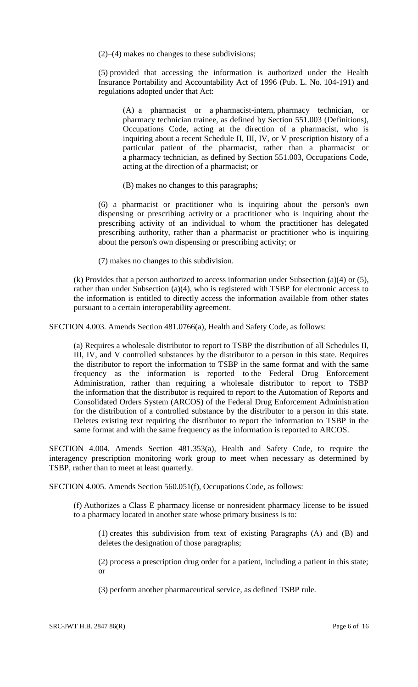(2)–(4) makes no changes to these subdivisions;

(5) provided that accessing the information is authorized under the Health Insurance Portability and Accountability Act of 1996 (Pub. L. No. 104-191) and regulations adopted under that Act:

(A) a pharmacist or a pharmacist-intern, pharmacy technician, or pharmacy technician trainee, as defined by Section 551.003 (Definitions), Occupations Code, acting at the direction of a pharmacist, who is inquiring about a recent Schedule II, III, IV, or V prescription history of a particular patient of the pharmacist, rather than a pharmacist or a pharmacy technician, as defined by Section 551.003, Occupations Code, acting at the direction of a pharmacist; or

(B) makes no changes to this paragraphs;

(6) a pharmacist or practitioner who is inquiring about the person's own dispensing or prescribing activity or a practitioner who is inquiring about the prescribing activity of an individual to whom the practitioner has delegated prescribing authority, rather than a pharmacist or practitioner who is inquiring about the person's own dispensing or prescribing activity; or

(7) makes no changes to this subdivision.

(k) Provides that a person authorized to access information under Subsection (a)(4) or (5), rather than under Subsection (a)(4), who is registered with TSBP for electronic access to the information is entitled to directly access the information available from other states pursuant to a certain interoperability agreement.

SECTION 4.003. Amends Section 481.0766(a), Health and Safety Code, as follows:

(a) Requires a wholesale distributor to report to TSBP the distribution of all Schedules II, III, IV, and V controlled substances by the distributor to a person in this state. Requires the distributor to report the information to TSBP in the same format and with the same frequency as the information is reported to the Federal Drug Enforcement Administration, rather than requiring a wholesale distributor to report to TSBP the information that the distributor is required to report to the Automation of Reports and Consolidated Orders System (ARCOS) of the Federal Drug Enforcement Administration for the distribution of a controlled substance by the distributor to a person in this state. Deletes existing text requiring the distributor to report the information to TSBP in the same format and with the same frequency as the information is reported to ARCOS.

SECTION 4.004. Amends Section 481.353(a), Health and Safety Code, to require the interagency prescription monitoring work group to meet when necessary as determined by TSBP, rather than to meet at least quarterly.

SECTION 4.005. Amends Section 560.051(f), Occupations Code, as follows:

(f) Authorizes a Class E pharmacy license or nonresident pharmacy license to be issued to a pharmacy located in another state whose primary business is to:

(1) creates this subdivision from text of existing Paragraphs (A) and (B) and deletes the designation of those paragraphs;

(2) process a prescription drug order for a patient, including a patient in this state; or

(3) perform another pharmaceutical service, as defined TSBP rule.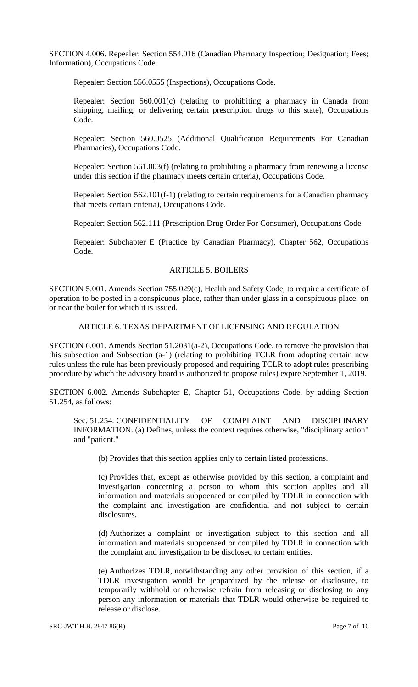SECTION 4.006. Repealer: Section 554.016 (Canadian Pharmacy Inspection; Designation; Fees; Information), Occupations Code.

Repealer: Section 556.0555 (Inspections), Occupations Code.

Repealer: Section 560.001(c) (relating to prohibiting a pharmacy in Canada from shipping, mailing, or delivering certain prescription drugs to this state), Occupations Code.

Repealer: Section 560.0525 (Additional Qualification Requirements For Canadian Pharmacies), Occupations Code.

Repealer: Section 561.003(f) (relating to prohibiting a pharmacy from renewing a license under this section if the pharmacy meets certain criteria), Occupations Code.

Repealer: Section 562.101(f-1) (relating to certain requirements for a Canadian pharmacy that meets certain criteria), Occupations Code.

Repealer: Section 562.111 (Prescription Drug Order For Consumer), Occupations Code.

Repealer: Subchapter E (Practice by Canadian Pharmacy), Chapter 562, Occupations Code.

#### ARTICLE 5. BOILERS

SECTION 5.001. Amends Section 755.029(c), Health and Safety Code, to require a certificate of operation to be posted in a conspicuous place, rather than under glass in a conspicuous place, on or near the boiler for which it is issued.

### ARTICLE 6. TEXAS DEPARTMENT OF LICENSING AND REGULATION

SECTION 6.001. Amends Section 51.2031(a-2), Occupations Code, to remove the provision that this subsection and Subsection (a-1) (relating to prohibiting TCLR from adopting certain new rules unless the rule has been previously proposed and requiring TCLR to adopt rules prescribing procedure by which the advisory board is authorized to propose rules) expire September 1, 2019.

SECTION 6.002. Amends Subchapter E, Chapter 51, Occupations Code, by adding Section 51.254, as follows:

Sec. 51.254. CONFIDENTIALITY OF COMPLAINT AND DISCIPLINARY INFORMATION. (a) Defines, unless the context requires otherwise, "disciplinary action" and "patient."

(b) Provides that this section applies only to certain listed professions.

(c) Provides that, except as otherwise provided by this section, a complaint and investigation concerning a person to whom this section applies and all information and materials subpoenaed or compiled by TDLR in connection with the complaint and investigation are confidential and not subject to certain disclosures.

(d) Authorizes a complaint or investigation subject to this section and all information and materials subpoenaed or compiled by TDLR in connection with the complaint and investigation to be disclosed to certain entities.

(e) Authorizes TDLR, notwithstanding any other provision of this section, if a TDLR investigation would be jeopardized by the release or disclosure, to temporarily withhold or otherwise refrain from releasing or disclosing to any person any information or materials that TDLR would otherwise be required to release or disclose.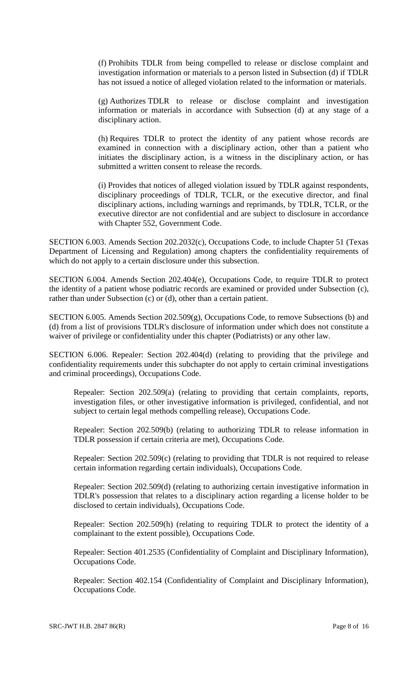(f) Prohibits TDLR from being compelled to release or disclose complaint and investigation information or materials to a person listed in Subsection (d) if TDLR has not issued a notice of alleged violation related to the information or materials.

(g) Authorizes TDLR to release or disclose complaint and investigation information or materials in accordance with Subsection (d) at any stage of a disciplinary action.

(h) Requires TDLR to protect the identity of any patient whose records are examined in connection with a disciplinary action, other than a patient who initiates the disciplinary action, is a witness in the disciplinary action, or has submitted a written consent to release the records.

(i) Provides that notices of alleged violation issued by TDLR against respondents, disciplinary proceedings of TDLR, TCLR, or the executive director, and final disciplinary actions, including warnings and reprimands, by TDLR, TCLR, or the executive director are not confidential and are subject to disclosure in accordance with Chapter 552, Government Code.

SECTION 6.003. Amends Section 202.2032(c), Occupations Code, to include Chapter 51 (Texas Department of Licensing and Regulation) among chapters the confidentiality requirements of which do not apply to a certain disclosure under this subsection.

SECTION 6.004. Amends Section 202.404(e), Occupations Code, to require TDLR to protect the identity of a patient whose podiatric records are examined or provided under Subsection (c), rather than under Subsection (c) or (d), other than a certain patient.

SECTION 6.005. Amends Section 202.509(g), Occupations Code, to remove Subsections (b) and (d) from a list of provisions TDLR's disclosure of information under which does not constitute a waiver of privilege or confidentiality under this chapter (Podiatrists) or any other law.

SECTION 6.006. Repealer: Section 202.404(d) (relating to providing that the privilege and confidentiality requirements under this subchapter do not apply to certain criminal investigations and criminal proceedings), Occupations Code.

Repealer: Section 202.509(a) (relating to providing that certain complaints, reports, investigation files, or other investigative information is privileged, confidential, and not subject to certain legal methods compelling release), Occupations Code.

Repealer: Section 202.509(b) (relating to authorizing TDLR to release information in TDLR possession if certain criteria are met), Occupations Code.

Repealer: Section 202.509(c) (relating to providing that TDLR is not required to release certain information regarding certain individuals), Occupations Code.

Repealer: Section 202.509(d) (relating to authorizing certain investigative information in TDLR's possession that relates to a disciplinary action regarding a license holder to be disclosed to certain individuals), Occupations Code.

Repealer: Section 202.509(h) (relating to requiring TDLR to protect the identity of a complainant to the extent possible), Occupations Code.

Repealer: Section 401.2535 (Confidentiality of Complaint and Disciplinary Information), Occupations Code.

Repealer: Section 402.154 (Confidentiality of Complaint and Disciplinary Information), Occupations Code.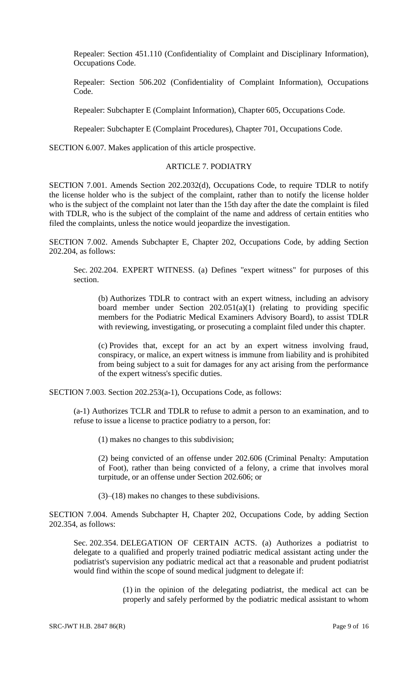Repealer: Section 451.110 (Confidentiality of Complaint and Disciplinary Information), Occupations Code.

Repealer: Section 506.202 (Confidentiality of Complaint Information), Occupations Code.

Repealer: Subchapter E (Complaint Information), Chapter 605, Occupations Code.

Repealer: Subchapter E (Complaint Procedures), Chapter 701, Occupations Code.

SECTION 6.007. Makes application of this article prospective.

#### ARTICLE 7. PODIATRY

SECTION 7.001. Amends Section 202.2032(d), Occupations Code, to require TDLR to notify the license holder who is the subject of the complaint, rather than to notify the license holder who is the subject of the complaint not later than the 15th day after the date the complaint is filed with TDLR, who is the subject of the complaint of the name and address of certain entities who filed the complaints, unless the notice would jeopardize the investigation.

SECTION 7.002. Amends Subchapter E, Chapter 202, Occupations Code, by adding Section 202.204, as follows:

Sec. 202.204. EXPERT WITNESS. (a) Defines "expert witness" for purposes of this section.

(b) Authorizes TDLR to contract with an expert witness, including an advisory board member under Section  $202.051(a)(1)$  (relating to providing specific members for the Podiatric Medical Examiners Advisory Board), to assist TDLR with reviewing, investigating, or prosecuting a complaint filed under this chapter.

(c) Provides that, except for an act by an expert witness involving fraud, conspiracy, or malice, an expert witness is immune from liability and is prohibited from being subject to a suit for damages for any act arising from the performance of the expert witness's specific duties.

SECTION 7.003. Section 202.253(a-1), Occupations Code, as follows:

(a-1) Authorizes TCLR and TDLR to refuse to admit a person to an examination, and to refuse to issue a license to practice podiatry to a person, for:

(1) makes no changes to this subdivision;

(2) being convicted of an offense under 202.606 (Criminal Penalty: Amputation of Foot), rather than being convicted of a felony, a crime that involves moral turpitude, or an offense under Section 202.606; or

(3)–(18) makes no changes to these subdivisions.

SECTION 7.004. Amends Subchapter H, Chapter 202, Occupations Code, by adding Section 202.354, as follows:

Sec. 202.354. DELEGATION OF CERTAIN ACTS. (a) Authorizes a podiatrist to delegate to a qualified and properly trained podiatric medical assistant acting under the podiatrist's supervision any podiatric medical act that a reasonable and prudent podiatrist would find within the scope of sound medical judgment to delegate if:

> (1) in the opinion of the delegating podiatrist, the medical act can be properly and safely performed by the podiatric medical assistant to whom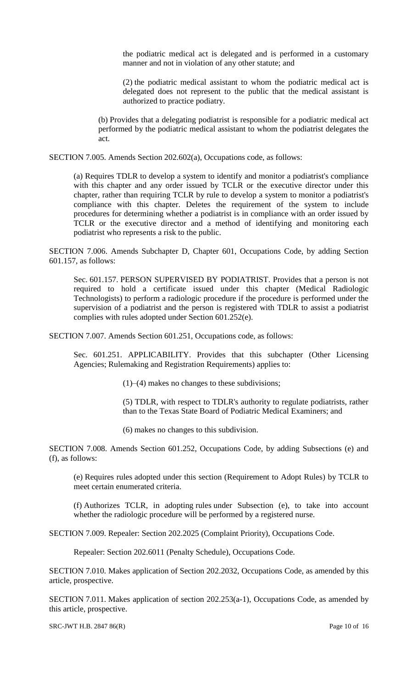the podiatric medical act is delegated and is performed in a customary manner and not in violation of any other statute; and

(2) the podiatric medical assistant to whom the podiatric medical act is delegated does not represent to the public that the medical assistant is authorized to practice podiatry.

(b) Provides that a delegating podiatrist is responsible for a podiatric medical act performed by the podiatric medical assistant to whom the podiatrist delegates the act.

SECTION 7.005. Amends Section 202.602(a), Occupations code, as follows:

(a) Requires TDLR to develop a system to identify and monitor a podiatrist's compliance with this chapter and any order issued by TCLR or the executive director under this chapter, rather than requiring TCLR by rule to develop a system to monitor a podiatrist's compliance with this chapter. Deletes the requirement of the system to include procedures for determining whether a podiatrist is in compliance with an order issued by TCLR or the executive director and a method of identifying and monitoring each podiatrist who represents a risk to the public.

SECTION 7.006. Amends Subchapter D, Chapter 601, Occupations Code, by adding Section 601.157, as follows:

Sec. 601.157. PERSON SUPERVISED BY PODIATRIST. Provides that a person is not required to hold a certificate issued under this chapter (Medical Radiologic Technologists) to perform a radiologic procedure if the procedure is performed under the supervision of a podiatrist and the person is registered with TDLR to assist a podiatrist complies with rules adopted under Section 601.252(e).

SECTION 7.007. Amends Section 601.251, Occupations code, as follows:

Sec. 601.251. APPLICABILITY. Provides that this subchapter (Other Licensing Agencies; Rulemaking and Registration Requirements) applies to:

(1)–(4) makes no changes to these subdivisions;

(5) TDLR, with respect to TDLR's authority to regulate podiatrists, rather than to the Texas State Board of Podiatric Medical Examiners; and

(6) makes no changes to this subdivision.

SECTION 7.008. Amends Section 601.252, Occupations Code, by adding Subsections (e) and (f), as follows:

(e) Requires rules adopted under this section (Requirement to Adopt Rules) by TCLR to meet certain enumerated criteria.

(f) Authorizes TCLR, in adopting rules under Subsection (e), to take into account whether the radiologic procedure will be performed by a registered nurse.

SECTION 7.009. Repealer: Section 202.2025 (Complaint Priority), Occupations Code.

Repealer: Section 202.6011 (Penalty Schedule), Occupations Code.

SECTION 7.010. Makes application of Section 202.2032, Occupations Code, as amended by this article, prospective.

SECTION 7.011. Makes application of section 202.253(a-1), Occupations Code, as amended by this article, prospective.

SRC-JWT H.B. 2847 86(R) Page 10 of 16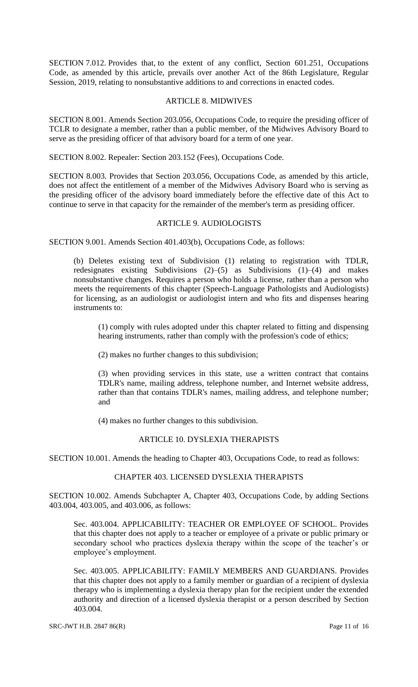SECTION 7.012. Provides that, to the extent of any conflict, Section 601.251, Occupations Code, as amended by this article, prevails over another Act of the 86th Legislature, Regular Session, 2019, relating to nonsubstantive additions to and corrections in enacted codes.

#### ARTICLE 8. MIDWIVES

SECTION 8.001. Amends Section 203.056, Occupations Code, to require the presiding officer of TCLR to designate a member, rather than a public member, of the Midwives Advisory Board to serve as the presiding officer of that advisory board for a term of one year.

SECTION 8.002. Repealer: Section 203.152 (Fees), Occupations Code.

SECTION 8.003. Provides that Section 203.056, Occupations Code, as amended by this article, does not affect the entitlement of a member of the Midwives Advisory Board who is serving as the presiding officer of the advisory board immediately before the effective date of this Act to continue to serve in that capacity for the remainder of the member's term as presiding officer.

### ARTICLE 9. AUDIOLOGISTS

SECTION 9.001. Amends Section 401.403(b), Occupations Code, as follows:

(b) Deletes existing text of Subdivision (1) relating to registration with TDLR, redesignates existing Subdivisions (2)–(5) as Subdivisions (1)–(4) and makes nonsubstantive changes. Requires a person who holds a license, rather than a person who meets the requirements of this chapter (Speech-Language Pathologists and Audiologists) for licensing, as an audiologist or audiologist intern and who fits and dispenses hearing instruments to:

(1) comply with rules adopted under this chapter related to fitting and dispensing hearing instruments, rather than comply with the profession's code of ethics;

(2) makes no further changes to this subdivision;

(3) when providing services in this state, use a written contract that contains TDLR's name, mailing address, telephone number, and Internet website address, rather than that contains TDLR's names, mailing address, and telephone number; and

(4) makes no further changes to this subdivision.

### ARTICLE 10. DYSLEXIA THERAPISTS

SECTION 10.001. Amends the heading to Chapter 403, Occupations Code, to read as follows:

### CHAPTER 403. LICENSED DYSLEXIA THERAPISTS

SECTION 10.002. Amends Subchapter A, Chapter 403, Occupations Code, by adding Sections 403.004, 403.005, and 403.006, as follows:

Sec. 403.004. APPLICABILITY: TEACHER OR EMPLOYEE OF SCHOOL. Provides that this chapter does not apply to a teacher or employee of a private or public primary or secondary school who practices dyslexia therapy within the scope of the teacher's or employee's employment.

Sec. 403.005. APPLICABILITY: FAMILY MEMBERS AND GUARDIANS. Provides that this chapter does not apply to a family member or guardian of a recipient of dyslexia therapy who is implementing a dyslexia therapy plan for the recipient under the extended authority and direction of a licensed dyslexia therapist or a person described by Section 403.004.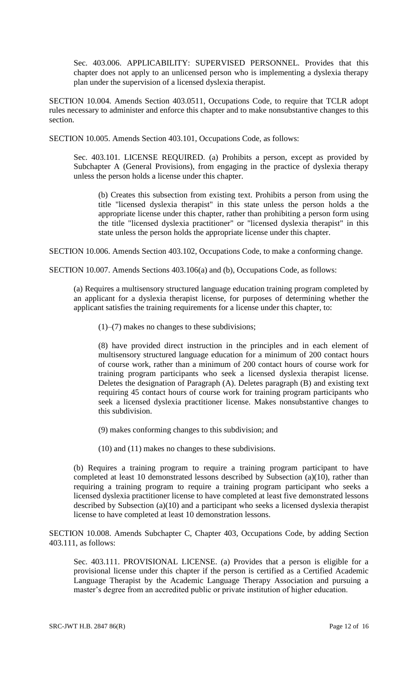Sec. 403.006. APPLICABILITY: SUPERVISED PERSONNEL. Provides that this chapter does not apply to an unlicensed person who is implementing a dyslexia therapy plan under the supervision of a licensed dyslexia therapist.

SECTION 10.004. Amends Section 403.0511, Occupations Code, to require that TCLR adopt rules necessary to administer and enforce this chapter and to make nonsubstantive changes to this section.

SECTION 10.005. Amends Section 403.101, Occupations Code, as follows:

Sec. 403.101. LICENSE REQUIRED. (a) Prohibits a person, except as provided by Subchapter A (General Provisions), from engaging in the practice of dyslexia therapy unless the person holds a license under this chapter.

(b) Creates this subsection from existing text. Prohibits a person from using the title "licensed dyslexia therapist" in this state unless the person holds a the appropriate license under this chapter, rather than prohibiting a person form using the title "licensed dyslexia practitioner" or "licensed dyslexia therapist" in this state unless the person holds the appropriate license under this chapter.

SECTION 10.006. Amends Section 403.102, Occupations Code, to make a conforming change.

SECTION 10.007. Amends Sections 403.106(a) and (b), Occupations Code, as follows:

(a) Requires a multisensory structured language education training program completed by an applicant for a dyslexia therapist license, for purposes of determining whether the applicant satisfies the training requirements for a license under this chapter, to:

(1)–(7) makes no changes to these subdivisions;

(8) have provided direct instruction in the principles and in each element of multisensory structured language education for a minimum of 200 contact hours of course work, rather than a minimum of 200 contact hours of course work for training program participants who seek a licensed dyslexia therapist license. Deletes the designation of Paragraph (A). Deletes paragraph (B) and existing text requiring 45 contact hours of course work for training program participants who seek a licensed dyslexia practitioner license. Makes nonsubstantive changes to this subdivision.

(9) makes conforming changes to this subdivision; and

(10) and (11) makes no changes to these subdivisions.

(b) Requires a training program to require a training program participant to have completed at least 10 demonstrated lessons described by Subsection (a)(10), rather than requiring a training program to require a training program participant who seeks a licensed dyslexia practitioner license to have completed at least five demonstrated lessons described by Subsection (a)(10) and a participant who seeks a licensed dyslexia therapist license to have completed at least 10 demonstration lessons.

SECTION 10.008. Amends Subchapter C, Chapter 403, Occupations Code, by adding Section 403.111, as follows:

Sec. 403.111. PROVISIONAL LICENSE. (a) Provides that a person is eligible for a provisional license under this chapter if the person is certified as a Certified Academic Language Therapist by the Academic Language Therapy Association and pursuing a master's degree from an accredited public or private institution of higher education.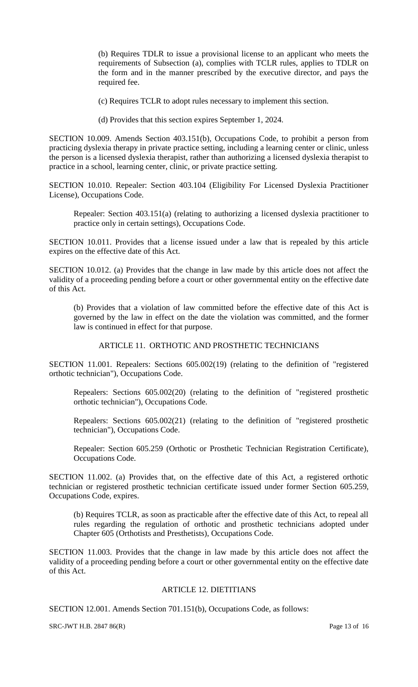(b) Requires TDLR to issue a provisional license to an applicant who meets the requirements of Subsection (a), complies with TCLR rules, applies to TDLR on the form and in the manner prescribed by the executive director, and pays the required fee.

(c) Requires TCLR to adopt rules necessary to implement this section.

(d) Provides that this section expires September 1, 2024.

SECTION 10.009. Amends Section 403.151(b), Occupations Code, to prohibit a person from practicing dyslexia therapy in private practice setting, including a learning center or clinic, unless the person is a licensed dyslexia therapist, rather than authorizing a licensed dyslexia therapist to practice in a school, learning center, clinic, or private practice setting.

SECTION 10.010. Repealer: Section 403.104 (Eligibility For Licensed Dyslexia Practitioner License), Occupations Code.

Repealer: Section 403.151(a) (relating to authorizing a licensed dyslexia practitioner to practice only in certain settings), Occupations Code.

SECTION 10.011. Provides that a license issued under a law that is repealed by this article expires on the effective date of this Act.

SECTION 10.012. (a) Provides that the change in law made by this article does not affect the validity of a proceeding pending before a court or other governmental entity on the effective date of this Act.

(b) Provides that a violation of law committed before the effective date of this Act is governed by the law in effect on the date the violation was committed, and the former law is continued in effect for that purpose.

ARTICLE 11. ORTHOTIC AND PROSTHETIC TECHNICIANS

SECTION 11.001. Repealers: Sections 605.002(19) (relating to the definition of "registered orthotic technician"), Occupations Code.

Repealers: Sections 605.002(20) (relating to the definition of "registered prosthetic orthotic technician"), Occupations Code.

Repealers: Sections 605.002(21) (relating to the definition of "registered prosthetic technician"), Occupations Code.

Repealer: Section 605.259 (Orthotic or Prosthetic Technician Registration Certificate), Occupations Code.

SECTION 11.002. (a) Provides that, on the effective date of this Act, a registered orthotic technician or registered prosthetic technician certificate issued under former Section 605.259, Occupations Code, expires.

(b) Requires TCLR, as soon as practicable after the effective date of this Act, to repeal all rules regarding the regulation of orthotic and prosthetic technicians adopted under Chapter 605 (Orthotists and Presthetists), Occupations Code.

SECTION 11.003. Provides that the change in law made by this article does not affect the validity of a proceeding pending before a court or other governmental entity on the effective date of this Act.

### ARTICLE 12. DIETITIANS

SECTION 12.001. Amends Section 701.151(b), Occupations Code, as follows:

SRC-JWT H.B. 2847 86(R) Page 13 of 16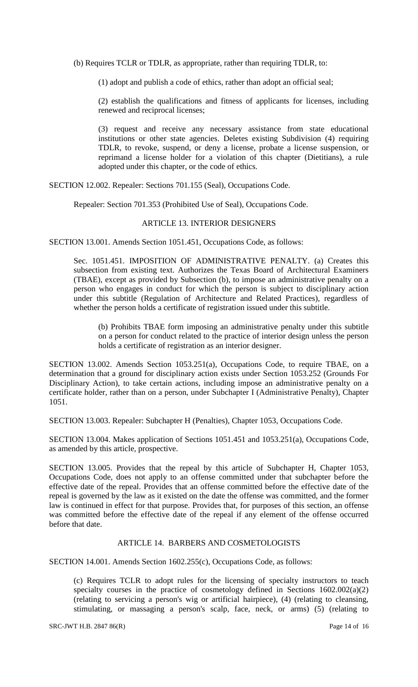(b) Requires TCLR or TDLR, as appropriate, rather than requiring TDLR, to:

(1) adopt and publish a code of ethics, rather than adopt an official seal;

(2) establish the qualifications and fitness of applicants for licenses, including renewed and reciprocal licenses;

(3) request and receive any necessary assistance from state educational institutions or other state agencies. Deletes existing Subdivision (4) requiring TDLR, to revoke, suspend, or deny a license, probate a license suspension, or reprimand a license holder for a violation of this chapter (Dietitians), a rule adopted under this chapter, or the code of ethics.

SECTION 12.002. Repealer: Sections 701.155 (Seal), Occupations Code.

Repealer: Section 701.353 (Prohibited Use of Seal), Occupations Code.

# ARTICLE 13. INTERIOR DESIGNERS

SECTION 13.001. Amends Section 1051.451, Occupations Code, as follows:

Sec. 1051.451. IMPOSITION OF ADMINISTRATIVE PENALTY. (a) Creates this subsection from existing text. Authorizes the Texas Board of Architectural Examiners (TBAE), except as provided by Subsection (b), to impose an administrative penalty on a person who engages in conduct for which the person is subject to disciplinary action under this subtitle (Regulation of Architecture and Related Practices), regardless of whether the person holds a certificate of registration issued under this subtitle.

(b) Prohibits TBAE form imposing an administrative penalty under this subtitle on a person for conduct related to the practice of interior design unless the person holds a certificate of registration as an interior designer.

SECTION 13.002. Amends Section 1053.251(a), Occupations Code, to require TBAE, on a determination that a ground for disciplinary action exists under Section 1053.252 (Grounds For Disciplinary Action), to take certain actions, including impose an administrative penalty on a certificate holder, rather than on a person, under Subchapter I (Administrative Penalty), Chapter 1051.

SECTION 13.003. Repealer: Subchapter H (Penalties), Chapter 1053, Occupations Code.

SECTION 13.004. Makes application of Sections 1051.451 and 1053.251(a), Occupations Code, as amended by this article, prospective.

SECTION 13.005. Provides that the repeal by this article of Subchapter H, Chapter 1053, Occupations Code, does not apply to an offense committed under that subchapter before the effective date of the repeal. Provides that an offense committed before the effective date of the repeal is governed by the law as it existed on the date the offense was committed, and the former law is continued in effect for that purpose. Provides that, for purposes of this section, an offense was committed before the effective date of the repeal if any element of the offense occurred before that date.

### ARTICLE 14. BARBERS AND COSMETOLOGISTS

SECTION 14.001. Amends Section 1602.255(c), Occupations Code, as follows:

(c) Requires TCLR to adopt rules for the licensing of specialty instructors to teach specialty courses in the practice of cosmetology defined in Sections  $1602.002(a)(2)$ (relating to servicing a person's wig or artificial hairpiece), (4) (relating to cleansing, stimulating, or massaging a person's scalp, face, neck, or arms) (5) (relating to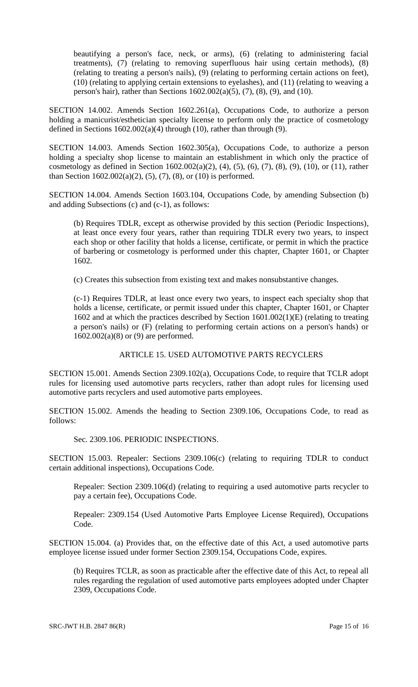beautifying a person's face, neck, or arms), (6) (relating to administering facial treatments), (7) (relating to removing superfluous hair using certain methods), (8) (relating to treating a person's nails), (9) (relating to performing certain actions on feet), (10) (relating to applying certain extensions to eyelashes), and (11) (relating to weaving a person's hair), rather than Sections 1602.002(a)(5), (7), (8), (9), and (10).

SECTION 14.002. Amends Section 1602.261(a), Occupations Code, to authorize a person holding a manicurist/esthetician specialty license to perform only the practice of cosmetology defined in Sections  $1602.002(a)(4)$  through (10), rather than through (9).

SECTION 14.003. Amends Section 1602.305(a), Occupations Code, to authorize a person holding a specialty shop license to maintain an establishment in which only the practice of cosmetology as defined in Section  $1602.002(a)(2)$ ,  $(4)$ ,  $(5)$ ,  $(6)$ ,  $(7)$ ,  $(8)$ ,  $(9)$ ,  $(10)$ , or  $(11)$ , rather than Section 1602.002(a)(2), (5), (7), (8), or (10) is performed.

SECTION 14.004. Amends Section 1603.104, Occupations Code, by amending Subsection (b) and adding Subsections (c) and (c-1), as follows:

(b) Requires TDLR, except as otherwise provided by this section (Periodic Inspections), at least once every four years, rather than requiring TDLR every two years, to inspect each shop or other facility that holds a license, certificate, or permit in which the practice of barbering or cosmetology is performed under this chapter, Chapter 1601, or Chapter 1602.

(c) Creates this subsection from existing text and makes nonsubstantive changes.

(c-1) Requires TDLR, at least once every two years, to inspect each specialty shop that holds a license, certificate, or permit issued under this chapter, Chapter 1601, or Chapter 1602 and at which the practices described by Section 1601.002(1)(E) (relating to treating a person's nails) or (F) (relating to performing certain actions on a person's hands) or 1602.002(a)(8) or (9) are performed.

### ARTICLE 15. USED AUTOMOTIVE PARTS RECYCLERS

SECTION 15.001. Amends Section 2309.102(a), Occupations Code, to require that TCLR adopt rules for licensing used automotive parts recyclers, rather than adopt rules for licensing used automotive parts recyclers and used automotive parts employees.

SECTION 15.002. Amends the heading to Section 2309.106, Occupations Code, to read as follows:

### Sec. 2309.106. PERIODIC INSPECTIONS.

SECTION 15.003. Repealer: Sections 2309.106(c) (relating to requiring TDLR to conduct certain additional inspections), Occupations Code.

Repealer: Section 2309.106(d) (relating to requiring a used automotive parts recycler to pay a certain fee), Occupations Code.

Repealer: 2309.154 (Used Automotive Parts Employee License Required), Occupations Code.

SECTION 15.004. (a) Provides that, on the effective date of this Act, a used automotive parts employee license issued under former Section 2309.154, Occupations Code, expires.

(b) Requires TCLR, as soon as practicable after the effective date of this Act, to repeal all rules regarding the regulation of used automotive parts employees adopted under Chapter 2309, Occupations Code.